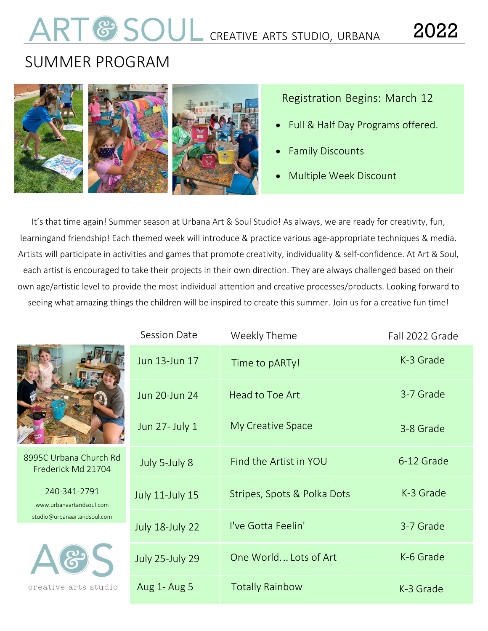# **COUL** CREATIVE ARTS STUDIO, URBANA 2022

# SUMMER PROGRAM



# Registration Begins: March 12

- Full & Half Day Programs offered.
- Family Discounts
- Multiple Week Discount

It's that time again! Summer season at Urbana Art & Soul Studio! As always, we are ready for creativity, fun, learningand friendship! Each themed week will introduce & practice various age-appropriate techniques & media. Artists will participate in activities and games that promote creativity, individuality & self-confidence. At Art & Soul, each artist is encouraged to take their projects in their own direction. They are always challenged based on their own age/artistic level to provide the most individual attention and creative processes/products. Looking forward to seeing what amazing things the children will be inspired to create this summer. Join us for a creative fun time!

|                                              | . JESSIUI LIJALE       |
|----------------------------------------------|------------------------|
|                                              | Jun 13-Jun 17          |
|                                              | Jun 20-Jun 24          |
|                                              | Jun 27- July 1         |
| 8995C Urbana Church Rd<br>Frederick Md 21704 | July 5-July 8          |
| 240-341-2791<br>www.urbanaartandsoul.com     | <b>July 11-July 15</b> |

[studio@urbanaartandsoul.com](mailto:studio@urbanaartandsoul.com)



| Session Date           | Weekly Theme                | Fall 2022 Grade |
|------------------------|-----------------------------|-----------------|
| Jun 13-Jun 17          | Time to pARTy!              | K-3 Grade       |
| Jun 20-Jun 24          | Head to Toe Art             | 3-7 Grade       |
| Jun 27- July 1         | My Creative Space           | 3-8 Grade       |
| July 5-July 8          | Find the Artist in YOU      | 6-12 Grade      |
| July 11-July 15        | Stripes, Spots & Polka Dots | K-3 Grade       |
| July 18-July 22        | I've Gotta Feelin'          | 3-7 Grade       |
| <b>July 25-July 29</b> | One World Lots of Art       | K-6 Grade       |
| Aug 1- Aug 5           | <b>Totally Rainbow</b>      | K-3 Grade       |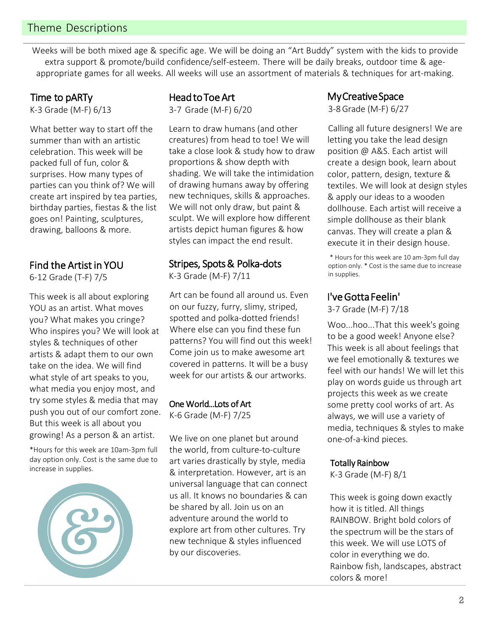# Theme Descriptions

Weeks will be both mixed age & specific age. We will be doing an "Art Buddy" system with the kids to provide extra support & promote/build confidence/self-esteem. There will be daily breaks, outdoor time & ageappropriate games for all weeks. All weeks will use an assortment of materials & techniques for art-making.

Time to pARTy K-3 Grade (M-F) 6/13

What better way to start off the summer than with an artistic celebration. This week will be packed full of fun, color & surprises. How many types of parties can you think of? We will create art inspired by tea parties, birthday parties, fiestas & the list goes on! Painting, sculptures, drawing, balloons & more.

### Find the Artist in YOU

6-12 Grade (T-F) 7/5

This week is all about exploring YOU as an artist. What moves you? What makes you cringe? Who inspires you? We will look at styles & techniques of other artists & adapt them to our own take on the idea. We will find what style of art speaks to you, what media you enjoy most, and try some styles & media that may push you out of our comfort zone. But this week is all about you growing! As a person & an artist.

\*Hours for this week are 10am-3pm full day option only. Cost is the same due to increase in supplies.



# Head to Toe Art

3-7 Grade (M-F) 6/20

Learn to draw humans (and other creatures) from head to toe! We will take a close look & study how to draw proportions & show depth with shading. We will take the intimidation of drawing humans away by offering new techniques, skills & approaches. We will not only draw, but paint & sculpt. We will explore how different artists depict human figures & how styles can impact the end result.

## Stripes, Spots & Polka-dots

K-3 Grade (M-F) 7/11

Art can be found all around us. Even on our fuzzy, furry, slimy, striped, spotted and polka-dotted friends! Where else can you find these fun patterns? You will find out this week! Come join us to make awesome art covered in patterns. It will be a busy week for our artists & our artworks.

#### One World...Lots of Art

K-6 Grade (M-F) 7/25

We live on one planet but around the world, from culture-to-culture art varies drastically by style, media & interpretation. However, art is an universal language that can connect us all. It knows no boundaries & can be shared by all. Join us on an adventure around the world to explore art from other cultures. Try new technique & styles influenced by our discoveries.

My Creative Space

3-8 Grade (M-F) 6/27

Calling all future designers! We are letting you take the lead design position @ A&S. Each artist will create a design book, learn about color, pattern, design, texture & textiles. We will look at design styles & apply our ideas to a wooden dollhouse. Each artist will receive a simple dollhouse as their blank canvas. They will create a plan & execute it in their design house.

\* Hours for this week are 10 am-3pm full day option only. \* Cost is the same due to increase in supplies.

# I've Gotta Feelin'

3-7 Grade (M-F) 7/18

Woo...hoo...That this week's going to be a good week! Anyone else? This week is all about feelings that we feel emotionally & textures we feel with our hands! We will let this play on words guide us through art projects this week as we create some pretty cool works of art. As always, we will use a variety of media, techniques & styles to make one-of-a-kind pieces.

#### Totally Rainbow

K-3 Grade (M-F) 8/1

This week is going down exactly how it is titled. All things RAINBOW. Bright bold colors of the spectrum will be the stars of this week. We will use LOTS of color in everything we do. Rainbow fish, landscapes, abstract colors & more!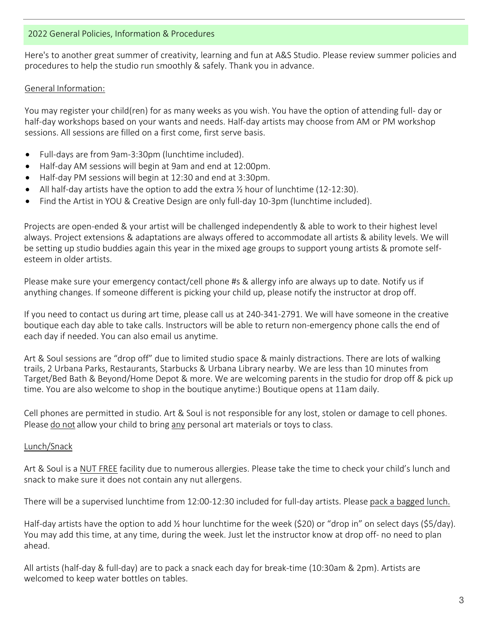#### 2022 General Policies, Information & Procedures

Here's to another great summer of creativity, learning and fun at A&S Studio. Please review summer policies and procedures to help the studio run smoothly & safely. Thank you in advance.

#### General Information:

You may register your child(ren) for as many weeks as you wish. You have the option of attending full- day or half-day workshops based on your wants and needs. Half-day artists may choose from AM or PM workshop sessions. All sessions are filled on a first come, first serve basis.

- Full-days are from 9am-3:30pm (lunchtime included).
- Half-day AM sessions will begin at 9am and end at 12:00pm.
- Half-day PM sessions will begin at 12:30 and end at 3:30pm.
- All half-day artists have the option to add the extra  $\frac{1}{2}$  hour of lunchtime (12-12:30).
- Find the Artist in YOU & Creative Design are only full-day 10-3pm (lunchtime included).

Projects are open-ended & your artist will be challenged independently & able to work to their highest level always. Project extensions & adaptations are always offered to accommodate all artists & ability levels. We will be setting up studio buddies again this year in the mixed age groups to support young artists & promote selfesteem in older artists.

Please make sure your emergency contact/cell phone #s & allergy info are always up to date. Notify us if anything changes. If someone different is picking your child up, please notify the instructor at drop off.

If you need to contact us during art time, please call us at 240-341-2791. We will have someone in the creative boutique each day able to take calls. Instructors will be able to return non-emergency phone calls the end of each day if needed. You can also email us anytime.

Art & Soul sessions are "drop off" due to limited studio space & mainly distractions. There are lots of walking trails, 2 Urbana Parks, Restaurants, Starbucks & Urbana Library nearby. We are less than 10 minutes from Target/Bed Bath & Beyond/Home Depot & more. We are welcoming parents in the studio for drop off & pick up time. You are also welcome to shop in the boutique anytime:) Boutique opens at 11am daily.

Cell phones are permitted in studio. Art & Soul is not responsible for any lost, stolen or damage to cell phones. Please do not allow your child to bring any personal art materials or toys to class.

#### Lunch/Snack

Art & Soul is a NUT FREE facility due to numerous allergies. Please take the time to check your child's lunch and snack to make sure it does not contain any nut allergens.

There will be a supervised lunchtime from 12:00-12:30 included for full-day artists. Please pack a bagged lunch.

Half-day artists have the option to add ½ hour lunchtime for the week (\$20) or "drop in" on select days (\$5/day). You may add this time, at any time, during the week. Just let the instructor know at drop off- no need to plan ahead.

All artists (half-day & full-day) are to pack a snack each day for break-time (10:30am & 2pm). Artists are welcomed to keep water bottles on tables.